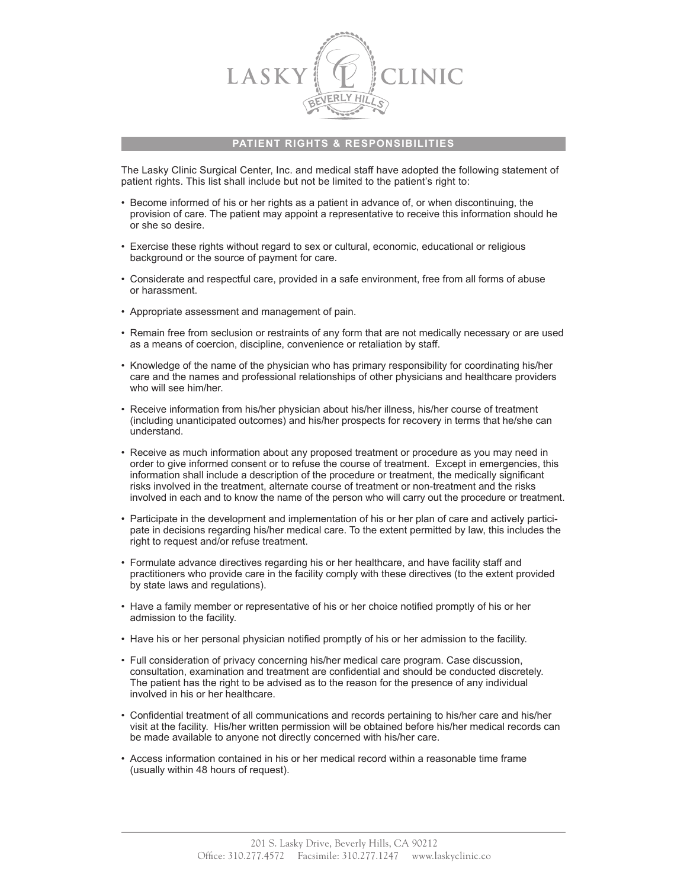

## **PATIENT RIGHTS & RESPONSIBILITIES**

The Lasky Clinic Surgical Center, Inc. and medical staff have adopted the following statement of patient rights. This list shall include but not be limited to the patient's right to:

- • Become informed of his or her rights as a patient in advance of, or when discontinuing, the provision of care. The patient may appoint a representative to receive this information should he or she so desire.
- • Exercise these rights without regard to sex or cultural, economic, educational or religious background or the source of payment for care.
- • Considerate and respectful care, provided in a safe environment, free from all forms of abuse or harassment.
- • Appropriate assessment and management of pain.
- • Remain free from seclusion or restraints of any form that are not medically necessary or are used as a means of coercion, discipline, convenience or retaliation by staff.
- • Knowledge of the name of the physician who has primary responsibility for coordinating his/her care and the names and professional relationships of other physicians and healthcare providers who will see him/her.
- Receive information from his/her physician about his/her illness, his/her course of treatment (including unanticipated outcomes) and his/her prospects for recovery in terms that he/she can understand.
- Receive as much information about any proposed treatment or procedure as you may need in order to give informed consent or to refuse the course of treatment. Except in emergencies, this information shall include a description of the procedure or treatment, the medically significant risks involved in the treatment, alternate course of treatment or non-treatment and the risks involved in each and to know the name of the person who will carry out the procedure or treatment.
- • Participate in the development and implementation of his or her plan of care and actively participate in decisions regarding his/her medical care. To the extent permitted by law, this includes the right to request and/or refuse treatment.
- • Formulate advance directives regarding his or her healthcare, and have facility staff and practitioners who provide care in the facility comply with these directives (to the extent provided by state laws and regulations).
- • Have a family member or representative of his or her choice notified promptly of his or her admission to the facility.
- Have his or her personal physician notified promptly of his or her admission to the facility.
- • Full consideration of privacy concerning his/her medical care program. Case discussion, consultation, examination and treatment are confidential and should be conducted discretely. The patient has the right to be advised as to the reason for the presence of any individual involved in his or her healthcare.
- • Confidential treatment of all communications and records pertaining to his/her care and his/her visit at the facility. His/her written permission will be obtained before his/her medical records can be made available to anyone not directly concerned with his/her care.
- • Access information contained in his or her medical record within a reasonable time frame (usually within 48 hours of request).